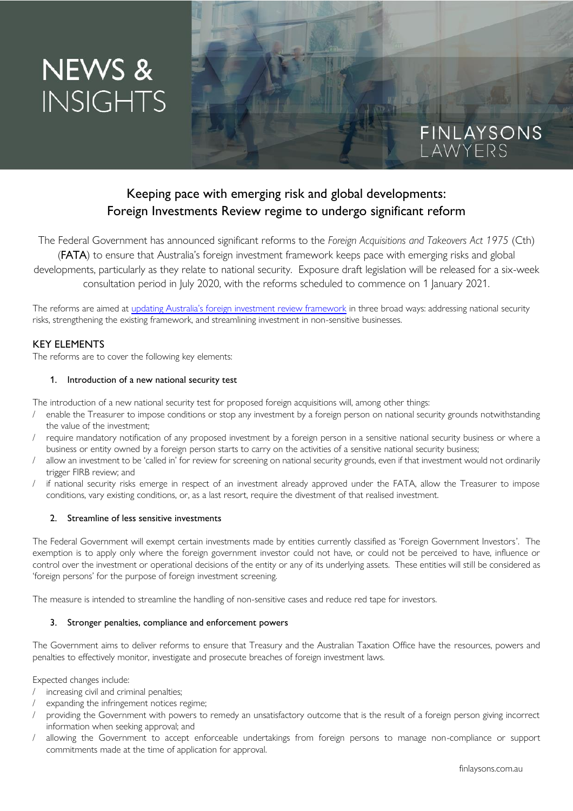# NEWS & **INSIGHTS**

# Keeping pace with emerging risk and global developments: Foreign Investments Review regime to undergo significant reform

The Federal Government has announced significant reforms to the *Foreign Acquisitions and Takeovers Act 1975* (Cth) (FATA) to ensure that Australia's foreign investment framework keeps pace with emerging risks and global developments, particularly as they relate to national security. Exposure draft legislation will be released for a six-week consultation period in July 2020, with the reforms scheduled to commence on 1 January 2021.

The reforms are aimed at [updating Australia's foreign investment review framework](https://treasury.gov.au/foreign-investment) in three broad ways: addressing national security risks, strengthening the existing framework, and streamlining investment in non-sensitive businesses.

### KEY ELEMENTS

The reforms are to cover the following key elements:

#### 1. Introduction of a new national security test

The introduction of a new national security test for proposed foreign acquisitions will, among other things:

- enable the Treasurer to impose conditions or stop any investment by a foreign person on national security grounds notwithstanding the value of the investment;
- require mandatory notification of any proposed investment by a foreign person in a sensitive national security business or where a business or entity owned by a foreign person starts to carry on the activities of a sensitive national security business;
- allow an investment to be 'called in' for review for screening on national security grounds, even if that investment would not ordinarily trigger FIRB review; and
- if national security risks emerge in respect of an investment already approved under the FATA, allow the Treasurer to impose conditions, vary existing conditions, or, as a last resort, require the divestment of that realised investment.

#### 2. Streamline of less sensitive investments

The Federal Government will exempt certain investments made by entities currently classified as 'Foreign Government Investors'. The exemption is to apply only where the foreign government investor could not have, or could not be perceived to have, influence or control over the investment or operational decisions of the entity or any of its underlying assets. These entities will still be considered as 'foreign persons' for the purpose of foreign investment screening.

The measure is intended to streamline the handling of non-sensitive cases and reduce red tape for investors.

#### 3. Stronger penalties, compliance and enforcement powers

The Government aims to deliver reforms to ensure that Treasury and the Australian Taxation Office have the resources, powers and penalties to effectively monitor, investigate and prosecute breaches of foreign investment laws.

Expected changes include:

- increasing civil and criminal penalties;
- expanding the infringement notices regime;
- providing the Government with powers to remedy an unsatisfactory outcome that is the result of a foreign person giving incorrect information when seeking approval; and
- allowing the Government to accept enforceable undertakings from foreign persons to manage non-compliance or support commitments made at the time of application for approval.

FINLAYSONS<br>LAWYERS